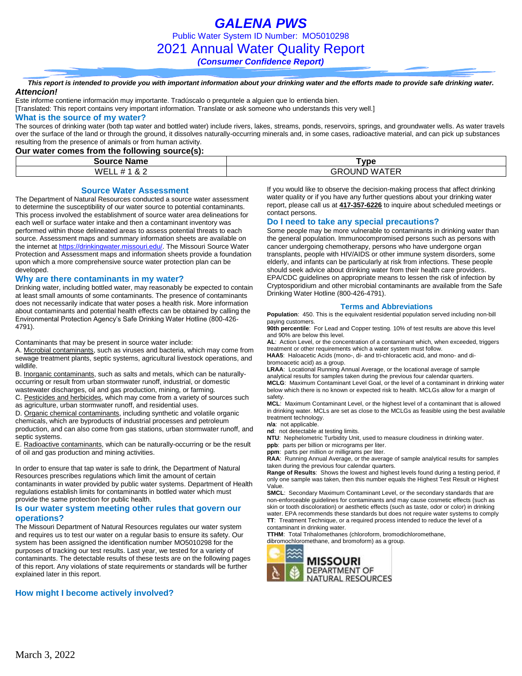*GALENA PWS* Public Water System ID Number: MO5010298 2021 Annual Water Quality Report *(Consumer Confidence Report)*

*This report is intended to provide you with important information about your drinking water and the efforts made to provide safe drinking water. Attencion!*

Este informe contiene información muy importante. Tradúscalo o prequntele a alguien que lo entienda bien.

[Translated: This report contains very important information. Translate or ask someone who understands this very well.]

#### **What is the source of my water?**

The sources of drinking water (both tap water and bottled water) include rivers, lakes, streams, ponds, reservoirs, springs, and groundwater wells. As water travels over the surface of the land or through the ground, it dissolves naturally-occurring minerals and, in some cases, radioactive material, and can pick up substances resulting from the presence of animals or from human activity.

#### **Our water comes from the following source(s):**

| .<br>Source.<br><b>Name</b>     | ™vpe                                                                                    |
|---------------------------------|-----------------------------------------------------------------------------------------|
| WEL<br>~<br>$\alpha$ $\epsilon$ | . . <i>.</i> . <del>.</del><br>')UNE<br>W A<br>.÷R′<br>--<br>$\cdots$ $\sqcup$ $\cdots$ |

#### **Source Water Assessment**

The Department of Natural Resources conducted a source water assessment to determine the susceptibility of our water source to potential contaminants. This process involved the establishment of source water area delineations for each well or surface water intake and then a contaminant inventory was performed within those delineated areas to assess potential threats to each source. Assessment maps and summary information sheets are available on the internet a[t https://drinkingwater.missouri.edu/.](https://drinkingwater.missouri.edu/) The Missouri Source Water Protection and Assessment maps and information sheets provide a foundation upon which a more comprehensive source water protection plan can be developed.

#### **Why are there contaminants in my water?**

Drinking water, including bottled water, may reasonably be expected to contain at least small amounts of some contaminants. The presence of contaminants does not necessarily indicate that water poses a health risk. More information about contaminants and potential health effects can be obtained by calling the Environmental Protection Agency's Safe Drinking Water Hotline (800-426- 4791).

Contaminants that may be present in source water include:

A. Microbial contaminants, such as viruses and bacteria, which may come from sewage treatment plants, septic systems, agricultural livestock operations, and wildlife.

B. Inorganic contaminants, such as salts and metals, which can be naturallyoccurring or result from urban stormwater runoff, industrial, or domestic wastewater discharges, oil and gas production, mining, or farming.

C. Pesticides and herbicides, which may come from a variety of sources such as agriculture, urban stormwater runoff, and residential uses.

D. Organic chemical contaminants, including synthetic and volatile organic chemicals, which are byproducts of industrial processes and petroleum production, and can also come from gas stations, urban stormwater runoff, and septic systems.

E. Radioactive contaminants, which can be naturally-occurring or be the result of oil and gas production and mining activities.

In order to ensure that tap water is safe to drink, the Department of Natural Resources prescribes regulations which limit the amount of certain contaminants in water provided by public water systems. Department of Health regulations establish limits for contaminants in bottled water which must provide the same protection for public health.

#### **Is our water system meeting other rules that govern our operations?**

The Missouri Department of Natural Resources regulates our water system and requires us to test our water on a regular basis to ensure its safety. Our system has been assigned the identification number MO5010298 for the purposes of tracking our test results. Last year, we tested for a variety of contaminants. The detectable results of these tests are on the following pages of this report. Any violations of state requirements or standards will be further explained later in this report.

#### **How might I become actively involved?**

If you would like to observe the decision-making process that affect drinking water quality or if you have any further questions about your drinking water report, please call us at **417-357-6226** to inquire about scheduled meetings or contact persons.

#### **Do I need to take any special precautions?**

Some people may be more vulnerable to contaminants in drinking water than the general population. Immunocompromised persons such as persons with cancer undergoing chemotherapy, persons who have undergone organ transplants, people with HIV/AIDS or other immune system disorders, some elderly, and infants can be particularly at risk from infections. These people should seek advice about drinking water from their health care providers. EPA/CDC guidelines on appropriate means to lessen the risk of infection by Cryptosporidium and other microbial contaminants are available from the Safe Drinking Water Hotline (800-426-4791).

#### **Terms and Abbreviations**

**Population**: 450. This is the equivalent residential population served including non-bill paying customers.

**90th percentile**: For Lead and Copper testing. 10% of test results are above this level and 90% are below this level.

**AL**: Action Level, or the concentration of a contaminant which, when exceeded, triggers treatment or other requirements which a water system must follow.

**HAA5**: Haloacetic Acids (mono-, di- and tri-chloracetic acid, and mono- and dibromoacetic acid) as a group.

**LRAA**: Locational Running Annual Average, or the locational average of sample analytical results for samples taken during the previous four calendar quarters. **MCLG**: Maximum Contaminant Level Goal, or the level of a contaminant in drinking water below which there is no known or expected risk to health. MCLGs allow for a margin of

safety. **MCL**: Maximum Contaminant Level, or the highest level of a contaminant that is allowed in drinking water. MCLs are set as close to the MCLGs as feasible using the best available treatment technology.

**n/a**: not applicable.

**nd**: not detectable at testing limits.

**NTU**: Nephelometric Turbidity Unit, used to measure cloudiness in drinking water. **ppb**: parts per billion or micrograms per liter.

**ppm**: parts per million or milligrams per liter.

**RAA**: Running Annual Average, or the average of sample analytical results for samples taken during the previous four calendar quarters.

**Range of Results**: Shows the lowest and highest levels found during a testing period, if only one sample was taken, then this number equals the Highest Test Result or Highest Value.

**SMCL**: Secondary Maximum Contaminant Level, or the secondary standards that are non-enforceable guidelines for contaminants and may cause cosmetic effects (such as skin or tooth discoloration) or aesthetic effects (such as taste, odor or color) in drinking water. EPA recommends these standards but does not require water systems to comply **TT**: Treatment Technique, or a required process intended to reduce the level of a contaminant in drinking water.

**TTHM**: Total Trihalomethanes (chloroform, bromodichloromethane,

dibromochloromethane, and bromoform) as a group.